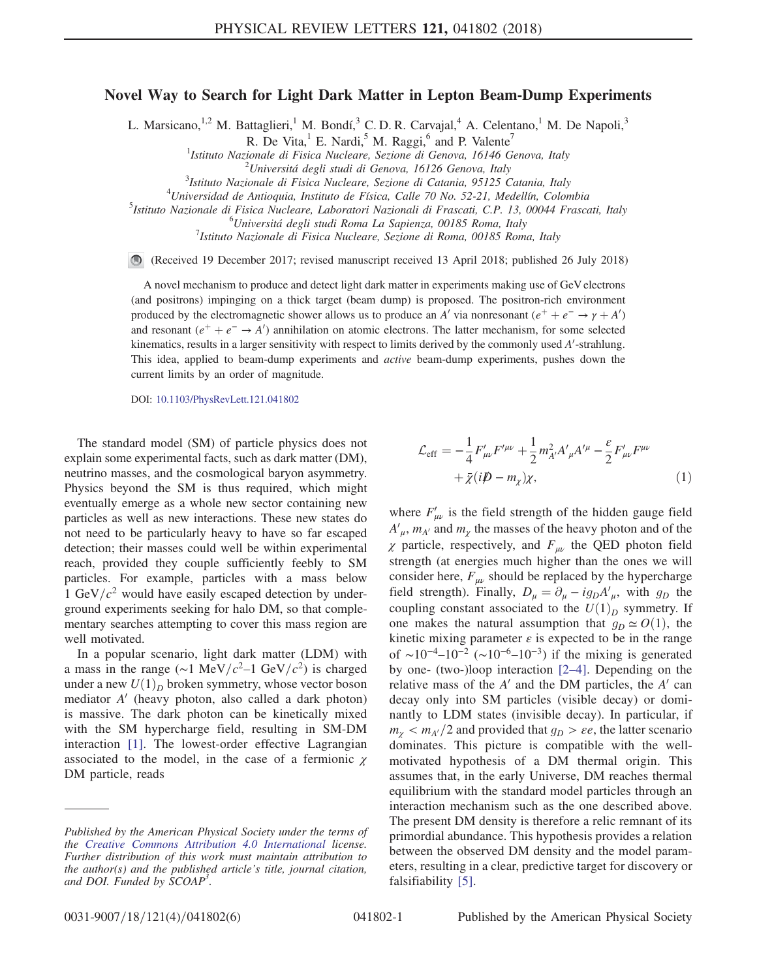## Novel Way to Search for Light Dark Matter in Lepton Beam-Dump Experiments

L. Marsicano,<sup>1,2</sup> M. Battaglieri,<sup>1</sup> M. Bondí,<sup>3</sup> C. D. R. Carvajal,<sup>4</sup> A. Celentano,<sup>1</sup> M. De Napoli,<sup>3</sup>

R. De Vita, $^1$  E. Nardi, $^5$  M. Raggi, $^6$  and P. Valente<sup>7</sup>

<sup>1</sup>Istituto Nazionale di Fisica Nucleare, Sezione di Genova, 16146 Genova, Italy  $\frac{2 \text{Uniners} \times \text{1.5}}{2 \text{ Uniens} \times \text{1.5}}$ 

 $3$ Istituto Nazionale di Fisica Nucleare, Sezione di Catania, 95125 Catania, Italy

 $^{4}$ Universidad de Antioquia, Instituto de Física, Calle 70 No. 52-21, Medellín, Colombia

<sup>5</sup>Istituto Nazionale di Fisica Nucleare, Laboratori Nazionali di Frascati, C.P. 13, 00044 Frascati, Italy

 ${}^{6}$ Universitá degli studi Roma La Sapienza, 00185 Roma, Italy

 $1$ Istituto Nazionale di Fisica Nucleare, Sezione di Roma, 00185 Roma, Italy

(Received 19 December 2017; revised manuscript received 13 April 2018; published 26 July 2018)

A novel mechanism to produce and detect light dark matter in experiments making use of GeV electrons (and positrons) impinging on a thick target (beam dump) is proposed. The positron-rich environment produced by the electromagnetic shower allows us to produce an A' via nonresonant  $(e^+ + e^- \rightarrow \gamma + A')$ and resonant  $(e^+ + e^- \rightarrow A')$  annihilation on atomic electrons. The latter mechanism, for some selected kinematics, results in a larger sensitivity with respect to limits derived by the commonly used  $A'$ -strahlung. This idea, applied to beam-dump experiments and active beam-dump experiments, pushes down the current limits by an order of magnitude.

DOI: [10.1103/PhysRevLett.121.041802](https://doi.org/10.1103/PhysRevLett.121.041802)

The standard model (SM) of particle physics does not explain some experimental facts, such as dark matter (DM), neutrino masses, and the cosmological baryon asymmetry. Physics beyond the SM is thus required, which might eventually emerge as a whole new sector containing new particles as well as new interactions. These new states do not need to be particularly heavy to have so far escaped detection; their masses could well be within experimental reach, provided they couple sufficiently feebly to SM particles. For example, particles with a mass below 1 GeV/ $c^2$  would have easily escaped detection by underground experiments seeking for halo DM, so that complementary searches attempting to cover this mass region are well motivated.

In a popular scenario, light dark matter (LDM) with a mass in the range (∼1 MeV/c<sup>2</sup>–1 GeV/c<sup>2</sup>) is charged under a new  $U(1)<sub>D</sub>$  broken symmetry, whose vector boson mediator  $A'$  (heavy photon, also called a dark photon) is massive. The dark photon can be kinetically mixed with the SM hypercharge field, resulting in SM-DM interaction [\[1\].](#page-4-0) The lowest-order effective Lagrangian associated to the model, in the case of a fermionic  $\chi$ DM particle, reads

$$
\mathcal{L}_{\text{eff}} = -\frac{1}{4} F'_{\mu\nu} F'^{\mu\nu} + \frac{1}{2} m_{A'}^2 A'_{\mu} A'^{\mu} - \frac{\varepsilon}{2} F'_{\mu\nu} F^{\mu\nu} + \bar{\chi} (i \not{D} - m_{\chi}) \chi, \tag{1}
$$

where  $F'_{\mu\nu}$  is the field strength of the hidden gauge field  $A'_{\mu}$ ,  $m_{A'}$  and  $m_{\chi}$  the masses of the heavy photon and of the  $\chi$  particle, respectively, and  $F_{\mu\nu}$  the QED photon field strength (at energies much higher than the ones we will consider here,  $F_{\mu\nu}$  should be replaced by the hypercharge field strength). Finally,  $D_{\mu} = \partial_{\mu} - ig_D A'_{\mu}$ , with  $g_D$  the coupling constant associated to the  $U(1)_D$  symmetry. If one makes the natural assumption that  $g_D \simeq O(1)$ , the kinetic mixing parameter  $\varepsilon$  is expected to be in the range of ~10<sup>-4</sup>–10<sup>-2</sup> (~10<sup>-6</sup>–10<sup>-3</sup>) if the mixing is generated by one- (two-)loop interaction [2–[4\].](#page-4-1) Depending on the relative mass of the  $A'$  and the DM particles, the  $A'$  can decay only into SM particles (visible decay) or dominantly to LDM states (invisible decay). In particular, if  $m_{\gamma} < m_{A}/2$  and provided that  $g_D > \varepsilon e$ , the latter scenario dominates. This picture is compatible with the wellmotivated hypothesis of a DM thermal origin. This assumes that, in the early Universe, DM reaches thermal equilibrium with the standard model particles through an interaction mechanism such as the one described above. The present DM density is therefore a relic remnant of its primordial abundance. This hypothesis provides a relation between the observed DM density and the model parameters, resulting in a clear, predictive target for discovery or falsifiability [\[5\].](#page-4-2)

 $^{2}$ Universitá degli studi di Genova, 16126 Genova, Italy

Published by the American Physical Society under the terms of the [Creative Commons Attribution 4.0 International](https://creativecommons.org/licenses/by/4.0/) license. Further distribution of this work must maintain attribution to the author(s) and the published article's title, journal citation, and DOI. Funded by SCOAP<sup>3</sup>.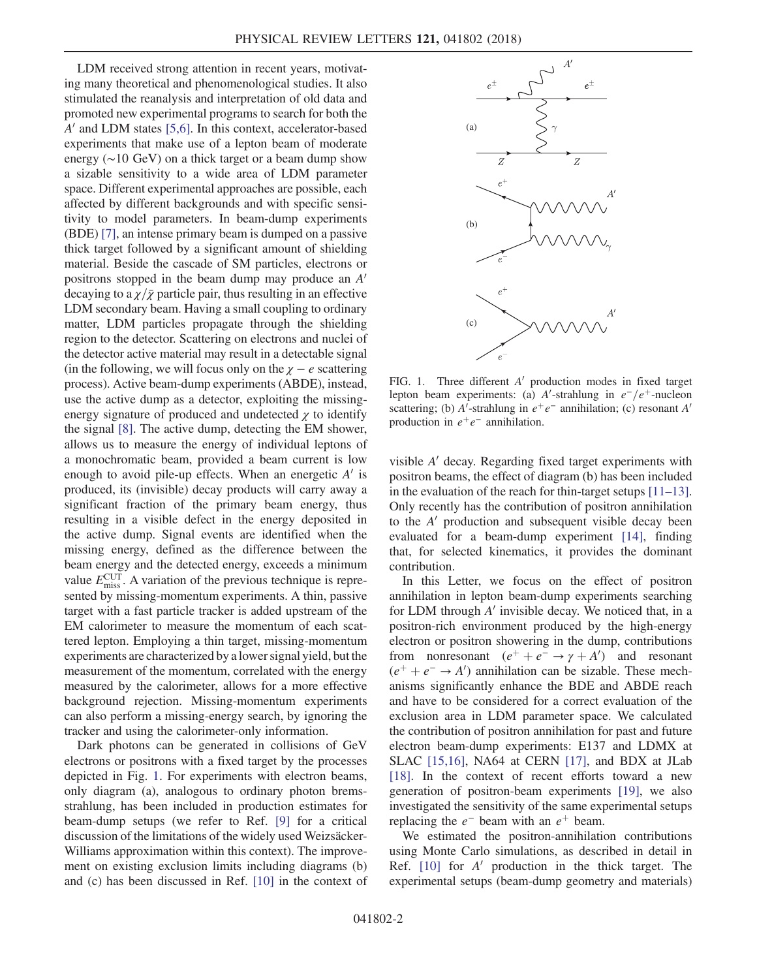LDM received strong attention in recent years, motivating many theoretical and phenomenological studies. It also stimulated the reanalysis and interpretation of old data and promoted new experimental programs to search for both the  $A'$  and LDM states [\[5,6\].](#page-4-2) In this context, accelerator-based experiments that make use of a lepton beam of moderate energy (∼10 GeV) on a thick target or a beam dump show a sizable sensitivity to a wide area of LDM parameter space. Different experimental approaches are possible, each affected by different backgrounds and with specific sensitivity to model parameters. In beam-dump experiments (BDE) [\[7\],](#page-4-3) an intense primary beam is dumped on a passive thick target followed by a significant amount of shielding material. Beside the cascade of SM particles, electrons or positrons stopped in the beam dump may produce an  $A<sup>'</sup>$ decaying to a  $\chi/\bar{\chi}$  particle pair, thus resulting in an effective LDM secondary beam. Having a small coupling to ordinary matter, LDM particles propagate through the shielding region to the detector. Scattering on electrons and nuclei of the detector active material may result in a detectable signal (in the following, we will focus only on the  $\chi - e$  scattering process). Active beam-dump experiments (ABDE), instead, use the active dump as a detector, exploiting the missingenergy signature of produced and undetected  $\gamma$  to identify the signal [\[8\].](#page-4-4) The active dump, detecting the EM shower, allows us to measure the energy of individual leptons of a monochromatic beam, provided a beam current is low enough to avoid pile-up effects. When an energetic  $A'$  is produced, its (invisible) decay products will carry away a significant fraction of the primary beam energy, thus resulting in a visible defect in the energy deposited in the active dump. Signal events are identified when the missing energy, defined as the difference between the beam energy and the detected energy, exceeds a minimum value  $E_{\text{miss}}^{\text{CUT}}$ . A variation of the previous technique is represented by missing-momentum experiments. A thin, passive target with a fast particle tracker is added upstream of the EM calorimeter to measure the momentum of each scattered lepton. Employing a thin target, missing-momentum experiments are characterized by a lower signal yield, but the measurement of the momentum, correlated with the energy measured by the calorimeter, allows for a more effective background rejection. Missing-momentum experiments can also perform a missing-energy search, by ignoring the tracker and using the calorimeter-only information.

Dark photons can be generated in collisions of GeV electrons or positrons with a fixed target by the processes depicted in Fig. [1.](#page-1-0) For experiments with electron beams, only diagram (a), analogous to ordinary photon bremsstrahlung, has been included in production estimates for beam-dump setups (we refer to Ref. [\[9\]](#page-4-5) for a critical discussion of the limitations of the widely used Weizsäcker-Williams approximation within this context). The improvement on existing exclusion limits including diagrams (b) and (c) has been discussed in Ref. [\[10\]](#page-4-6) in the context of

<span id="page-1-0"></span>

FIG. 1. Three different  $A'$  production modes in fixed target lepton beam experiments: (a) A'-strahlung in  $e^-/e^+$ -nucleon scattering; (b) A'-strahlung in  $e^+e^-$  annihilation; (c) resonant A' production in  $e^+e^-$  annihilation.

visible  $A'$  decay. Regarding fixed target experiments with positron beams, the effect of diagram (b) has been included in the evaluation of the reach for thin-target setups [\[11](#page-5-0)–13]. Only recently has the contribution of positron annihilation to the  $A'$  production and subsequent visible decay been evaluated for a beam-dump experiment [\[14\]](#page-5-1), finding that, for selected kinematics, it provides the dominant contribution.

In this Letter, we focus on the effect of positron annihilation in lepton beam-dump experiments searching for LDM through  $A'$  invisible decay. We noticed that, in a positron-rich environment produced by the high-energy electron or positron showering in the dump, contributions from nonresonant  $(e^+ + e^- \rightarrow \gamma + A')$  and resonant  $(e^+ + e^- \rightarrow A')$  annihilation can be sizable. These mechanisms significantly enhance the BDE and ABDE reach and have to be considered for a correct evaluation of the exclusion area in LDM parameter space. We calculated the contribution of positron annihilation for past and future electron beam-dump experiments: E137 and LDMX at SLAC [\[15,16\]](#page-5-2), NA64 at CERN [\[17\],](#page-5-3) and BDX at JLab [\[18\]](#page-5-4). In the context of recent efforts toward a new generation of positron-beam experiments [\[19\]](#page-5-5), we also investigated the sensitivity of the same experimental setups replacing the  $e^-$  beam with an  $e^+$  beam.

We estimated the positron-annihilation contributions using Monte Carlo simulations, as described in detail in Ref.  $[10]$  for  $A'$  production in the thick target. The experimental setups (beam-dump geometry and materials)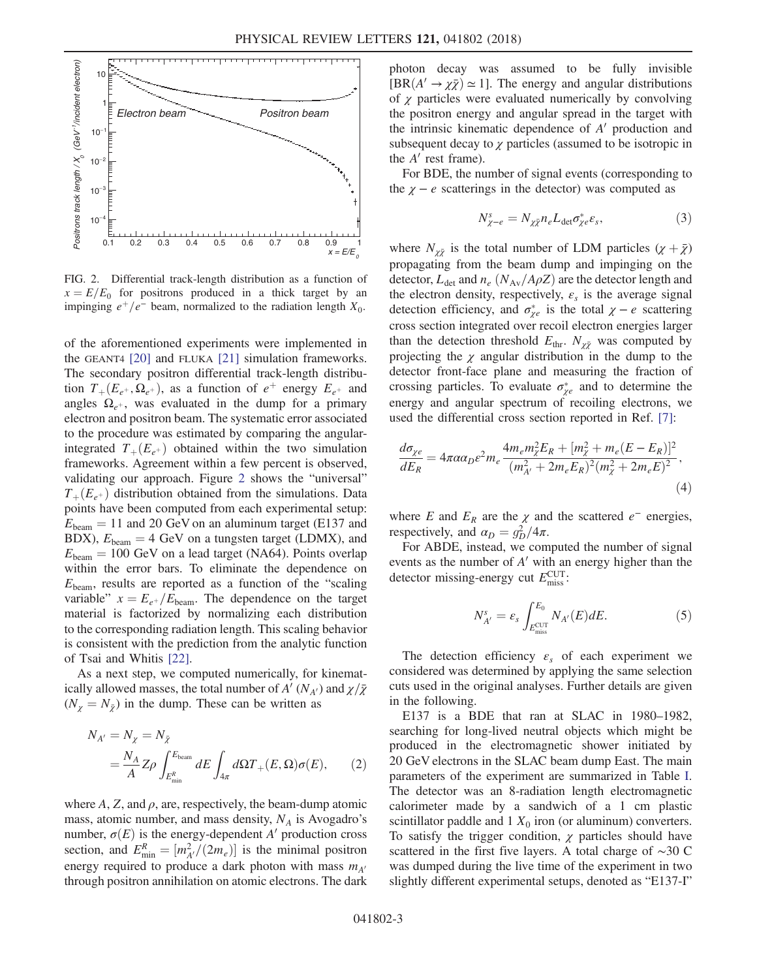<span id="page-2-0"></span>

FIG. 2. Differential track-length distribution as a function of  $x = E/E_0$  for positrons produced in a thick target by an impinging  $e^+/e^-$  beam, normalized to the radiation length  $X_0$ .

of the aforementioned experiments were implemented in the GEANT4 [\[20\]](#page-5-6) and FLUKA [\[21\]](#page-5-7) simulation frameworks. The secondary positron differential track-length distribution  $T_{+}(E_{e^+}, \Omega_{e^+})$ , as a function of  $e^+$  energy  $E_{e^+}$  and angles  $\Omega_{e^+}$ , was evaluated in the dump for a primary electron and positron beam. The systematic error associated to the procedure was estimated by comparing the angularintegrated  $T_{+}(E_{e^+})$  obtained within the two simulation frameworks. Agreement within a few percent is observed, validating our approach. Figure [2](#page-2-0) shows the "universal"  $T_{+}(E_{e^+})$  distribution obtained from the simulations. Data points have been computed from each experimental setup:  $E_{\text{beam}} = 11$  and 20 GeV on an aluminum target (E137 and BDX),  $E_{\text{beam}} = 4 \text{ GeV}$  on a tungsten target (LDMX), and  $E_{\text{beam}} = 100 \text{ GeV}$  on a lead target (NA64). Points overlap within the error bars. To eliminate the dependence on  $E_{\text{beam}}$ , results are reported as a function of the "scaling variable"  $x = E_{e^+}/E_{\text{beam}}$ . The dependence on the target material is factorized by normalizing each distribution to the corresponding radiation length. This scaling behavior is consistent with the prediction from the analytic function of Tsai and Whitis [\[22\]](#page-5-8).

As a next step, we computed numerically, for kinematically allowed masses, the total number of  $A'(N_{A'})$  and  $\chi/\bar{\chi}$  $(N_{\gamma} = N_{\bar{\gamma}})$  in the dump. These can be written as

$$
N_{A'} = N_{\chi} = N_{\bar{\chi}}
$$
  
=  $\frac{N_A}{A} Z \rho \int_{E_{\text{min}}^R}^{E_{\text{beam}}} dE \int_{4\pi} d\Omega T_+(E, \Omega) \sigma(E),$  (2)

where  $A$ ,  $Z$ , and  $\rho$ , are, respectively, the beam-dump atomic mass, atomic number, and mass density,  $N_A$  is Avogadro's number,  $\sigma(E)$  is the energy-dependent A' production cross section, and  $E_{\min}^R = [m_{A'}^2/(2m_e)]$  is the minimal positron energy required to produce a dark photon with mass  $m_{A}$ through positron annihilation on atomic electrons. The dark photon decay was assumed to be fully invisible  $[BR(A' \rightarrow \chi \bar{\chi}) \simeq 1]$ . The energy and angular distributions of  $\chi$  particles were evaluated numerically by convolving the positron energy and angular spread in the target with the intrinsic kinematic dependence of  $A'$  production and subsequent decay to  $\chi$  particles (assumed to be isotropic in the  $A'$  rest frame).

For BDE, the number of signal events (corresponding to the  $\chi - e$  scatterings in the detector) was computed as

$$
N_{\chi-e}^s = N_{\chi\bar{\chi}} n_e L_{\text{det}} \sigma_{\chi e}^* \varepsilon_s,\tag{3}
$$

where  $N_{\chi \bar{\chi}}$  is the total number of LDM particles  $(\chi + \bar{\chi})$ propagating from the beam dump and impinging on the detector,  $L_{\text{det}}$  and  $n_e$  ( $N_{\text{Av}}/A\rho Z$ ) are the detector length and the electron density, respectively,  $\varepsilon_s$  is the average signal detection efficiency, and  $\sigma_{\chi e}^*$  is the total  $\chi - e$  scattering cross section integrated over recoil electron energies larger than the detection threshold  $E_{thr}$ .  $N_{\chi\bar{\chi}}$  was computed by projecting the  $\chi$  angular distribution in the dump to the detector front-face plane and measuring the fraction of crossing particles. To evaluate  $\sigma_{\chi e}^*$  and to determine the energy and angular spectrum of recoiling electrons, we used the differential cross section reported in Ref. [\[7\]](#page-4-3):

$$
\frac{d\sigma_{\chi e}}{dE_R} = 4\pi \alpha \alpha_D \varepsilon^2 m_e \frac{4m_e m_{\chi}^2 E_R + [m_{\chi}^2 + m_e (E - E_R)]^2}{(m_{A'}^2 + 2m_e E_R)^2 (m_{\chi}^2 + 2m_e E)^2},\tag{4}
$$

where E and  $E_R$  are the  $\chi$  and the scattered  $e^-$  energies, respectively, and  $\alpha_D = g_D^2/4\pi$ .

For ABDE, instead, we computed the number of signal events as the number of  $A'$  with an energy higher than the detector missing-energy cut  $E_{\text{miss}}^{\text{CUT}}$ :

$$
N_{A'}^s = \varepsilon_s \int_{E_{\text{miss}}^{\text{CUT}}}^{E_0} N_{A'}(E) dE. \tag{5}
$$

The detection efficiency  $\varepsilon_s$  of each experiment we considered was determined by applying the same selection cuts used in the original analyses. Further details are given in the following.

E137 is a BDE that ran at SLAC in 1980–1982, searching for long-lived neutral objects which might be produced in the electromagnetic shower initiated by 20 GeV electrons in the SLAC beam dump East. The main parameters of the experiment are summarized in Table [I](#page-3-0). The detector was an 8-radiation length electromagnetic calorimeter made by a sandwich of a 1 cm plastic scintillator paddle and  $1 X_0$  iron (or aluminum) converters. To satisfy the trigger condition,  $\chi$  particles should have scattered in the first five layers. A total charge of ∼30 C was dumped during the live time of the experiment in two slightly different experimental setups, denoted as "E137-I"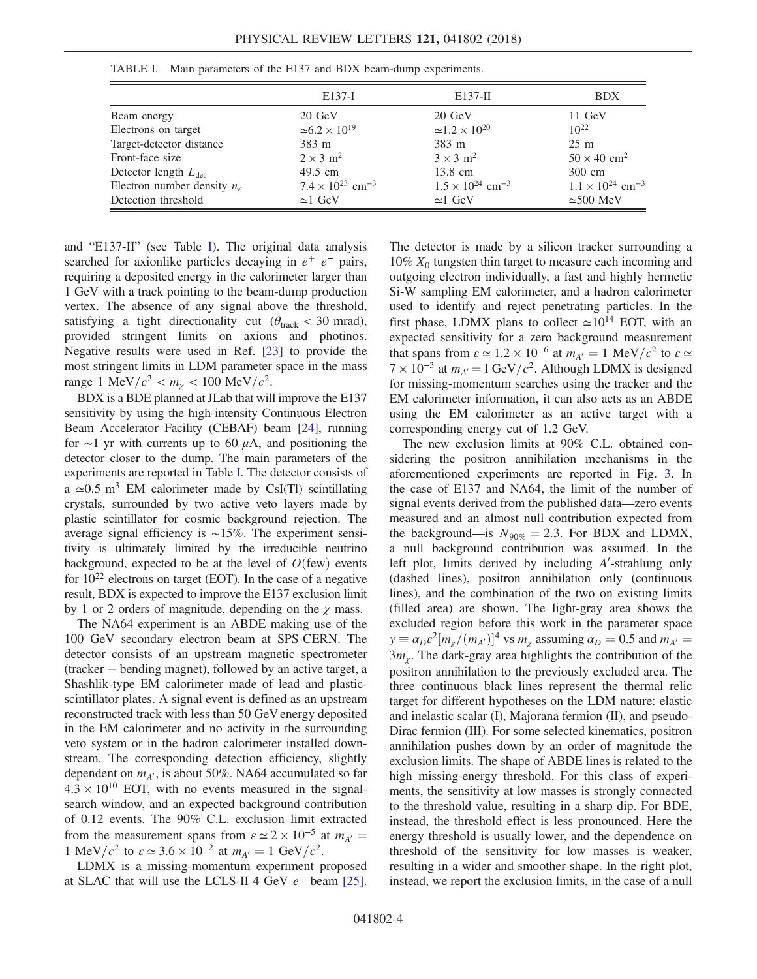|                                  | E137-I                                | $E137-H$                              | <b>BDX</b>                            |
|----------------------------------|---------------------------------------|---------------------------------------|---------------------------------------|
| Beam energy                      | 20 GeV                                | 20 GeV                                | $11 \text{ GeV}$                      |
| Electrons on target              | $\approx 6.2 \times 10^{19}$          | $\approx 1.2 \times 10^{20}$          | $10^{22}$                             |
| Target-detector distance         | 383 m                                 | 383 m                                 | $25 \text{ m}$                        |
| Front-face size                  | $2 \times 3$ m <sup>2</sup>           | $3 \times 3$ m <sup>2</sup>           | $50 \times 40$ cm <sup>2</sup>        |
| Detector length $L_{\text{det}}$ | 49.5 cm                               | 13.8 cm                               | 300 cm                                |
| Electron number density $n_e$    | $7.4 \times 10^{23}$ cm <sup>-3</sup> | $1.5 \times 10^{24}$ cm <sup>-3</sup> | $1.1 \times 10^{24}$ cm <sup>-3</sup> |
| Detection threshold              | $\approx$ 1 GeV                       | $\simeq$ 1 GeV                        | $\approx$ 500 MeV                     |

<span id="page-3-0"></span>TABLE I. Main parameters of the E137 and BDX beam-dump experiments.

and "E137-II" (see Table [I\)](#page-3-0). The original data analysis searched for axionlike particles decaying in  $e^+$  e<sup>-</sup> pairs, requiring a deposited energy in the calorimeter larger than 1 GeV with a track pointing to the beam-dump production vertex. The absence of any signal above the threshold, satisfying a tight directionality cut ( $\theta_{\text{track}} < 30$  mrad), provided stringent limits on axions and photinos. Negative results were used in Ref. [\[23\]](#page-5-9) to provide the most stringent limits in LDM parameter space in the mass range 1 MeV/ $c^2 < m_y < 100 \text{ MeV}/c^2$ .

BDX is a BDE planned at JLab that will improve the E137 sensitivity by using the high-intensity Continuous Electron Beam Accelerator Facility (CEBAF) beam [\[24\],](#page-5-10) running for ∼1 yr with currents up to 60  $\mu$ A, and positioning the detector closer to the dump. The main parameters of the experiments are reported in Table [I.](#page-3-0) The detector consists of a  $\approx 0.5$  m<sup>3</sup> EM calorimeter made by CsI(Tl) scintillating crystals, surrounded by two active veto layers made by plastic scintillator for cosmic background rejection. The average signal efficiency is ∼15%. The experiment sensitivity is ultimately limited by the irreducible neutrino background, expected to be at the level of  $O$ (few) events for  $10^{22}$  electrons on target (EOT). In the case of a negative result, BDX is expected to improve the E137 exclusion limit by 1 or 2 orders of magnitude, depending on the  $\chi$  mass.

The NA64 experiment is an ABDE making use of the 100 GeV secondary electron beam at SPS-CERN. The detector consists of an upstream magnetic spectrometer  $($ tracker  $+$  bending magnet), followed by an active target, a Shashlik-type EM calorimeter made of lead and plasticscintillator plates. A signal event is defined as an upstream reconstructed track with less than 50 GeV energy deposited in the EM calorimeter and no activity in the surrounding veto system or in the hadron calorimeter installed downstream. The corresponding detection efficiency, slightly dependent on  $m_{A'}$ , is about 50%. NA64 accumulated so far  $4.3 \times 10^{10}$  EOT, with no events measured in the signalsearch window, and an expected background contribution of 0.12 events. The 90% C.L. exclusion limit extracted from the measurement spans from  $\varepsilon \simeq 2 \times 10^{-5}$  at  $m_{A'} =$ 1 MeV/ $c^2$  to  $\varepsilon \approx 3.6 \times 10^{-2}$  at  $m_{A'} = 1$  GeV/ $c^2$ .

LDMX is a missing-momentum experiment proposed at SLAC that will use the LCLS-II 4 GeV  $e^-$  beam [\[25\]](#page-5-11). The detector is made by a silicon tracker surrounding a 10%  $X_0$  tungsten thin target to measure each incoming and outgoing electron individually, a fast and highly hermetic Si-W sampling EM calorimeter, and a hadron calorimeter used to identify and reject penetrating particles. In the first phase, LDMX plans to collect  $\simeq 10^{14}$  EOT, with an expected sensitivity for a zero background measurement that spans from  $\varepsilon \simeq 1.2 \times 10^{-6}$  at  $m_{A'} = 1 \text{ MeV}/c^2$  to  $\varepsilon \simeq$  $7 \times 10^{-3}$  at  $m_{A'} = 1$  GeV/ $c^2$ . Although LDMX is designed for missing-momentum searches using the tracker and the EM calorimeter information, it can also acts as an ABDE using the EM calorimeter as an active target with a corresponding energy cut of 1.2 GeV.

The new exclusion limits at 90% C.L. obtained considering the positron annihilation mechanisms in the aforementioned experiments are reported in Fig. [3.](#page-4-7) In the case of E137 and NA64, the limit of the number of signal events derived from the published data—zero events measured and an almost null contribution expected from the background—is  $N_{90\%} = 2.3$ . For BDX and LDMX, a null background contribution was assumed. In the left plot, limits derived by including  $A'$ -strahlung only (dashed lines), positron annihilation only (continuous lines), and the combination of the two on existing limits (filled area) are shown. The light-gray area shows the excluded region before this work in the parameter space  $y \equiv \alpha_D \varepsilon^2 [m_\chi/(m_{A'})]^4$  vs  $m_\chi$  assuming  $\alpha_D = 0.5$  and  $m_{A'} =$  $3m_\chi$ . The dark-gray area highlights the contribution of the positron annihilation to the previously excluded area. The three continuous black lines represent the thermal relic target for different hypotheses on the LDM nature: elastic and inelastic scalar (I), Majorana fermion (II), and pseudo-Dirac fermion (III). For some selected kinematics, positron annihilation pushes down by an order of magnitude the exclusion limits. The shape of ABDE lines is related to the high missing-energy threshold. For this class of experiments, the sensitivity at low masses is strongly connected to the threshold value, resulting in a sharp dip. For BDE, instead, the threshold effect is less pronounced. Here the energy threshold is usually lower, and the dependence on threshold of the sensitivity for low masses is weaker, resulting in a wider and smoother shape. In the right plot, instead, we report the exclusion limits, in the case of a null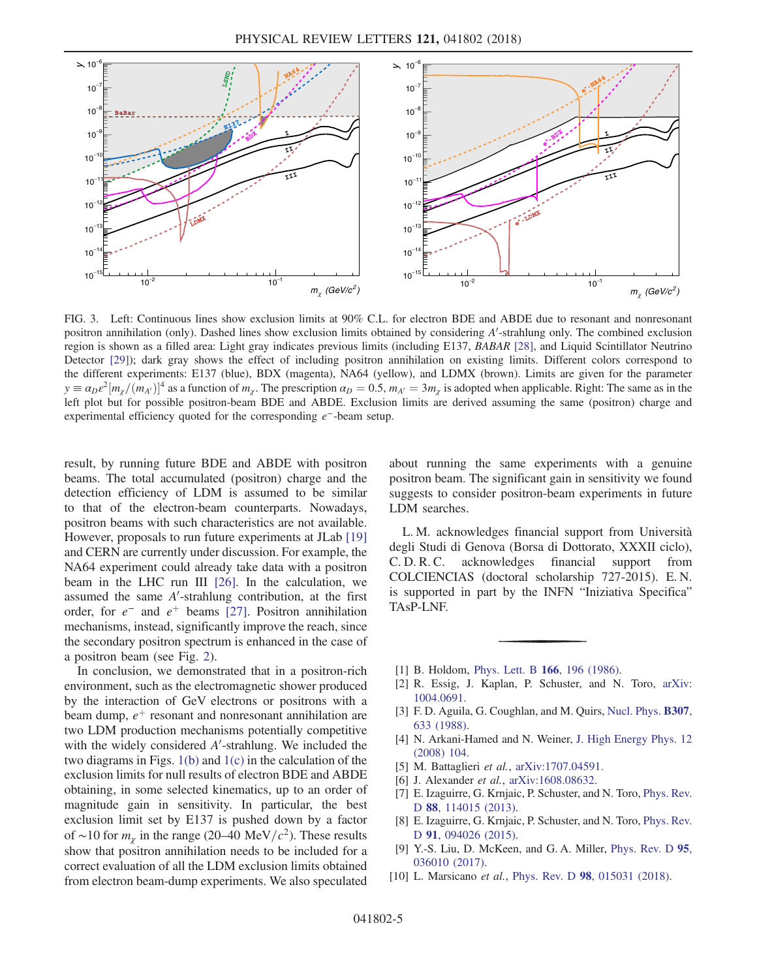<span id="page-4-7"></span>

FIG. 3. Left: Continuous lines show exclusion limits at 90% C.L. for electron BDE and ABDE due to resonant and nonresonant positron annihilation (only). Dashed lines show exclusion limits obtained by considering A'-strahlung only. The combined exclusion region is shown as a filled area: Light gray indicates previous limits (including E137, BABAR [\[28\],](#page-5-14) and Liquid Scintillator Neutrino Detector [\[29\]](#page-5-15)); dark gray shows the effect of including positron annihilation on existing limits. Different colors correspond to the different experiments: E137 (blue), BDX (magenta), NA64 (yellow), and LDMX (brown). Limits are given for the parameter  $y \equiv a_D \varepsilon^2 [m_\chi/(m_{A'})]^4$  as a function of  $m_\chi$ . The prescription  $a_D = 0.5$ ,  $m_{A'} = 3m_\chi$  is adopted when applicable. Right: The same as in the left plot but for possible positron-beam BDE and ABDE. Exclusion limits are derived assuming the same (positron) charge and experimental efficiency quoted for the corresponding e<sup>−</sup>-beam setup.

result, by running future BDE and ABDE with positron beams. The total accumulated (positron) charge and the detection efficiency of LDM is assumed to be similar to that of the electron-beam counterparts. Nowadays, positron beams with such characteristics are not available. However, proposals to run future experiments at JLab [\[19\]](#page-5-5) and CERN are currently under discussion. For example, the NA64 experiment could already take data with a positron beam in the LHC run III [\[26\].](#page-5-12) In the calculation, we assumed the same  $A'$ -strahlung contribution, at the first order, for  $e^-$  and  $e^+$  beams [\[27\].](#page-5-13) Positron annihilation mechanisms, instead, significantly improve the reach, since the secondary positron spectrum is enhanced in the case of a positron beam (see Fig. [2\)](#page-2-0).

In conclusion, we demonstrated that in a positron-rich environment, such as the electromagnetic shower produced by the interaction of GeV electrons or positrons with a beam dump,  $e^+$  resonant and nonresonant annihilation are two LDM production mechanisms potentially competitive with the widely considered  $A'$ -strahlung. We included the two diagrams in Figs.  $1(b)$  and  $1(c)$  in the calculation of the exclusion limits for null results of electron BDE and ABDE obtaining, in some selected kinematics, up to an order of magnitude gain in sensitivity. In particular, the best exclusion limit set by E137 is pushed down by a factor of ∼10 for  $m_{\chi}$  in the range (20–40 MeV/ $c^2$ ). These results show that positron annihilation needs to be included for a correct evaluation of all the LDM exclusion limits obtained from electron beam-dump experiments. We also speculated about running the same experiments with a genuine positron beam. The significant gain in sensitivity we found suggests to consider positron-beam experiments in future LDM searches.

L. M. acknowledges financial support from Università degli Studi di Genova (Borsa di Dottorato, XXXII ciclo), C. D. R. C. acknowledges financial support from COLCIENCIAS (doctoral scholarship 727-2015). E. N. is supported in part by the INFN "Iniziativa Specifica" TAsP-LNF.

- <span id="page-4-1"></span><span id="page-4-0"></span>[1] B. Holdom, [Phys. Lett. B](https://doi.org/10.1016/0370-2693(86)91377-8) 166, 196 (1986).
- [2] R. Essig, J. Kaplan, P. Schuster, and N. Toro, [arXiv:](http://arXiv.org/abs/1004.0691) [1004.0691.](http://arXiv.org/abs/1004.0691)
- [3] F. D. Aguila, G. Coughlan, and M. Quirs, [Nucl. Phys.](https://doi.org/10.1016/0550-3213(88)90266-0) **B307**, [633 \(1988\)](https://doi.org/10.1016/0550-3213(88)90266-0).
- <span id="page-4-2"></span>[4] N. Arkani-Hamed and N. Weiner, [J. High Energy Phys. 12](https://doi.org/10.1088/1126-6708/2008/12/104) [\(2008\) 104.](https://doi.org/10.1088/1126-6708/2008/12/104)
- <span id="page-4-3"></span>[5] M. Battaglieri et al., [arXiv:1707.04591.](http://arXiv.org/abs/1707.04591)
- [6] J. Alexander et al., [arXiv:1608.08632.](http://arXiv.org/abs/1608.08632)
- <span id="page-4-4"></span>[7] E. Izaguirre, G. Krnjaic, P. Schuster, and N. Toro, [Phys. Rev.](https://doi.org/10.1103/PhysRevD.88.114015) <sup>D</sup> 88[, 114015 \(2013\)](https://doi.org/10.1103/PhysRevD.88.114015).
- <span id="page-4-5"></span>[8] E. Izaguirre, G. Krnjaic, P. Schuster, and N. Toro, [Phys. Rev.](https://doi.org/10.1103/PhysRevD.91.094026) D 91[, 094026 \(2015\)](https://doi.org/10.1103/PhysRevD.91.094026).
- <span id="page-4-6"></span>[9] Y.-S. Liu, D. McKeen, and G. A. Miller, [Phys. Rev. D](https://doi.org/10.1103/PhysRevD.95.036010) 95, [036010 \(2017\).](https://doi.org/10.1103/PhysRevD.95.036010)
- [10] L. Marsicano et al., Phys. Rev. D 98[, 015031 \(2018\)](https://doi.org/10.1103/PhysRevD.98.015031).